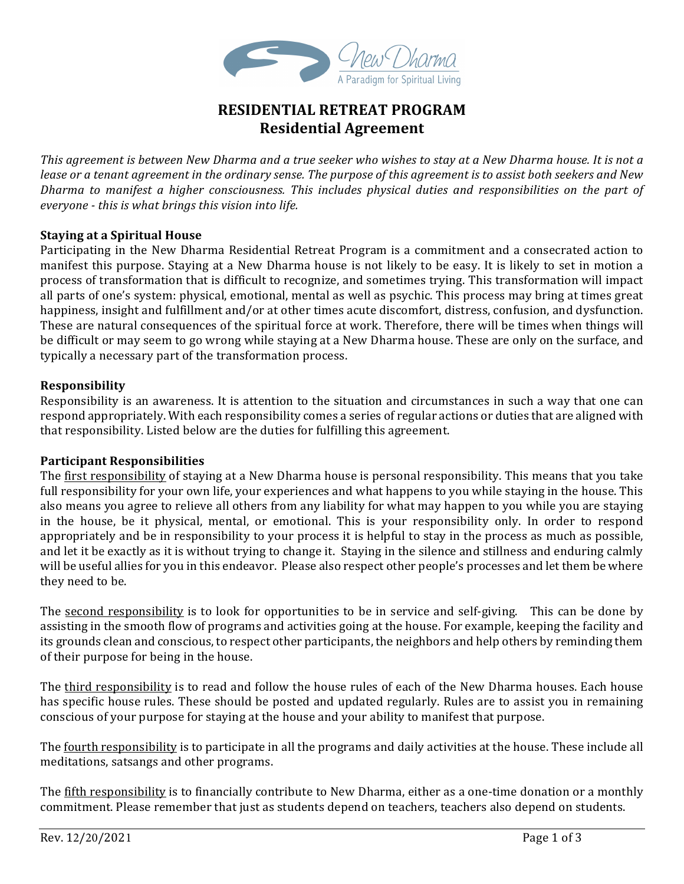

# **RESIDENTIAL RETREAT PROGRAM Residential Agreement**

This agreement is between New Dharma and a true seeker who wishes to stay at a New Dharma house. It is not a *lease or a tenant agreement in the ordinary sense. The purpose of this agreement is to assist both seekers and New* Dharma to manifest a higher consciousness. This includes physical duties and responsibilities on the part of *everyone* - *this* is what brings this vision into life.

## **Staying at a Spiritual House**

Participating in the New Dharma Residential Retreat Program is a commitment and a consecrated action to manifest this purpose. Staying at a New Dharma house is not likely to be easy. It is likely to set in motion a process of transformation that is difficult to recognize, and sometimes trying. This transformation will impact all parts of one's system: physical, emotional, mental as well as psychic. This process may bring at times great happiness, insight and fulfillment and/or at other times acute discomfort, distress, confusion, and dysfunction. These are natural consequences of the spiritual force at work. Therefore, there will be times when things will be difficult or may seem to go wrong while staying at a New Dharma house. These are only on the surface, and typically a necessary part of the transformation process.

### **Responsibility**

Responsibility is an awareness. It is attention to the situation and circumstances in such a way that one can respond appropriately. With each responsibility comes a series of regular actions or duties that are aligned with that responsibility. Listed below are the duties for fulfilling this agreement.

#### **Participant Responsibilities**

The first responsibility of staying at a New Dharma house is personal responsibility. This means that you take full responsibility for your own life, your experiences and what happens to you while staying in the house. This also means you agree to relieve all others from any liability for what may happen to you while you are staying in the house, be it physical, mental, or emotional. This is your responsibility only. In order to respond appropriately and be in responsibility to your process it is helpful to stay in the process as much as possible, and let it be exactly as it is without trying to change it. Staying in the silence and stillness and enduring calmly will be useful allies for you in this endeavor. Please also respect other people's processes and let them be where they need to be.

The second responsibility is to look for opportunities to be in service and self-giving. This can be done by assisting in the smooth flow of programs and activities going at the house. For example, keeping the facility and its grounds clean and conscious, to respect other participants, the neighbors and help others by reminding them of their purpose for being in the house.

The third responsibility is to read and follow the house rules of each of the New Dharma houses. Each house has specific house rules. These should be posted and updated regularly. Rules are to assist you in remaining conscious of your purpose for staying at the house and your ability to manifest that purpose.

The <u>fourth responsibility</u> is to participate in all the programs and daily activities at the house. These include all meditations, satsangs and other programs.

The fifth responsibility is to financially contribute to New Dharma, either as a one-time donation or a monthly commitment. Please remember that just as students depend on teachers, teachers also depend on students.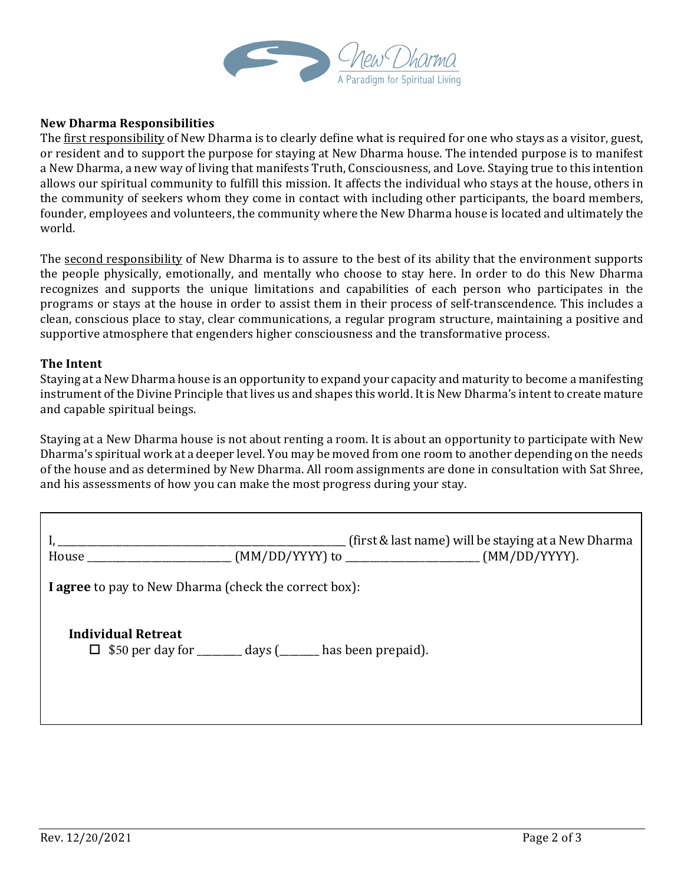

### **New Dharma Responsibilities**

The first responsibility of New Dharma is to clearly define what is required for one who stays as a visitor, guest, or resident and to support the purpose for staying at New Dharma house. The intended purpose is to manifest a New Dharma, a new way of living that manifests Truth, Consciousness, and Love. Staying true to this intention allows our spiritual community to fulfill this mission. It affects the individual who stays at the house, others in the community of seekers whom they come in contact with including other participants, the board members, founder, employees and volunteers, the community where the New Dharma house is located and ultimately the world.

The second responsibility of New Dharma is to assure to the best of its ability that the environment supports the people physically, emotionally, and mentally who choose to stay here. In order to do this New Dharma recognizes and supports the unique limitations and capabilities of each person who participates in the programs or stays at the house in order to assist them in their process of self-transcendence. This includes a clean, conscious place to stay, clear communications, a regular program structure, maintaining a positive and supportive atmosphere that engenders higher consciousness and the transformative process.

#### **The Intent**

Staying at a New Dharma house is an opportunity to expand your capacity and maturity to become a manifesting instrument of the Divine Principle that lives us and shapes this world. It is New Dharma's intent to create mature and capable spiritual beings.

Staying at a New Dharma house is not about renting a room. It is about an opportunity to participate with New Dharma's spiritual work at a deeper level. You may be moved from one room to another depending on the needs of the house and as determined by New Dharma. All room assignments are done in consultation with Sat Shree, and his assessments of how you can make the most progress during your stay.

|                                                       | (first & last name) will be staying at a New Dharma<br>House _____________________________(MM/DD/YYYY) to _________________________(MM/DD/YYYY). |  |  |
|-------------------------------------------------------|--------------------------------------------------------------------------------------------------------------------------------------------------|--|--|
| I agree to pay to New Dharma (check the correct box): |                                                                                                                                                  |  |  |
| Individual Retreat                                    | $\Box$ \$50 per day for ________ days (_______ has been prepaid).                                                                                |  |  |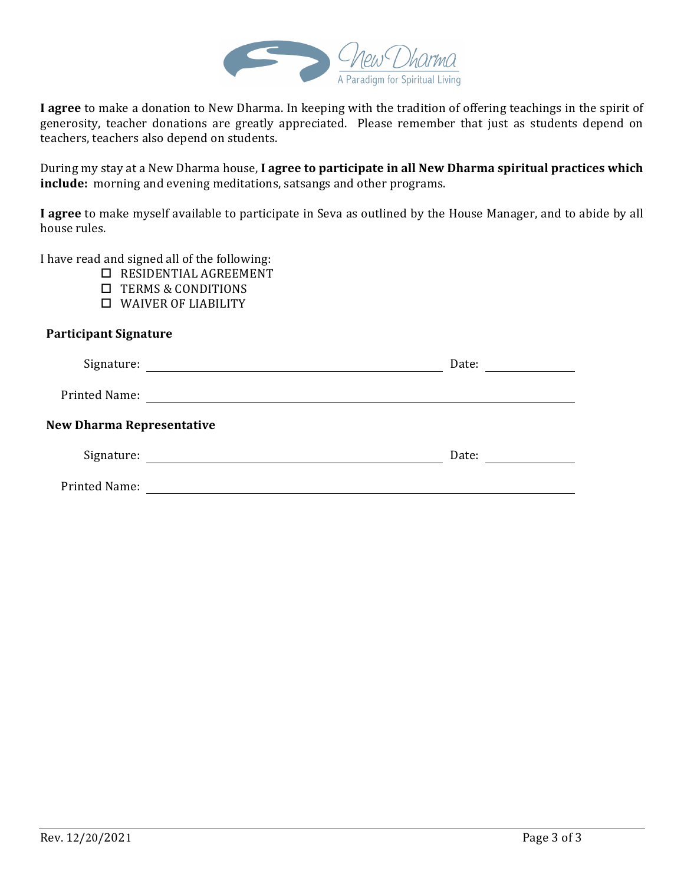

**I** agree to make a donation to New Dharma. In keeping with the tradition of offering teachings in the spirit of generosity, teacher donations are greatly appreciated. Please remember that just as students depend on teachers, teachers also depend on students.

During my stay at a New Dharma house, I agree to participate in all New Dharma spiritual practices which include: morning and evening meditations, satsangs and other programs.

I agree to make myself available to participate in Seva as outlined by the House Manager, and to abide by all house rules.

I have read and signed all of the following:

- $\square$  RESIDENTIAL AGREEMENT
- $\square$  TERMS & CONDITIONS
- $\Box$  WAIVER OF LIABILITY

## **Participant Signature**

| Signature:                                                                                                                         | Date: |  |  |
|------------------------------------------------------------------------------------------------------------------------------------|-------|--|--|
| <b>Printed Name:</b>                                                                                                               |       |  |  |
| <b>New Dharma Representative</b>                                                                                                   |       |  |  |
| Signature:<br><u> 1980 - Jan Samuel Barbara, martin da shekara 1980 - An tsa a tsa a tsa a tsa a tsa a tsa a tsa a tsa a tsa a</u> | Date: |  |  |
| <b>Printed Name:</b>                                                                                                               |       |  |  |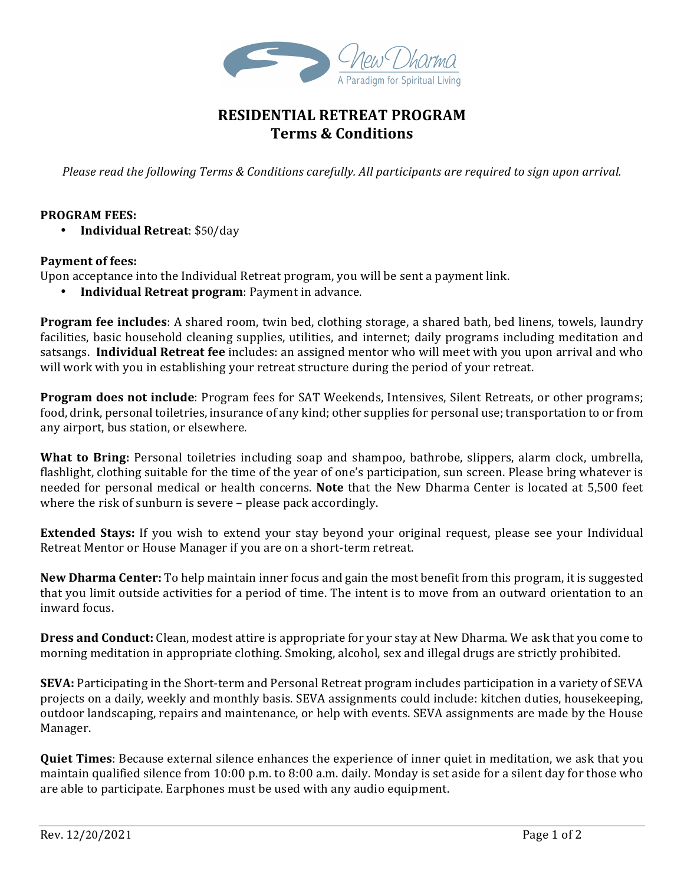

# **RESIDENTIAL RETREAT PROGRAM Terms & Conditions**

*Please read the following Terms & Conditions carefully. All participants are required to sign upon arrival.* 

## **PROGRAM FEES:**

• **Individual Retreat:** \$50/day

#### Payment of fees:

Upon acceptance into the Individual Retreat program, you will be sent a payment link.

**Individual Retreat program:** Payment in advance.

**Program fee includes**: A shared room, twin bed, clothing storage, a shared bath, bed linens, towels, laundry facilities, basic household cleaning supplies, utilities, and internet; daily programs including meditation and satsangs. **Individual Retreat fee** includes: an assigned mentor who will meet with you upon arrival and who will work with you in establishing your retreat structure during the period of your retreat.

**Program does not include**: Program fees for SAT Weekends, Intensives, Silent Retreats, or other programs; food, drink, personal toiletries, insurance of any kind; other supplies for personal use; transportation to or from any airport, bus station, or elsewhere.

**What to Bring:** Personal toiletries including soap and shampoo, bathrobe, slippers, alarm clock, umbrella, flashlight, clothing suitable for the time of the year of one's participation, sun screen. Please bring whatever is needed for personal medical or health concerns. **Note** that the New Dharma Center is located at 5,500 feet where the risk of sunburn is severe  $-$  please pack accordingly.

**Extended Stays:** If you wish to extend your stay beyond your original request, please see your Individual Retreat Mentor or House Manager if you are on a short-term retreat.

New Dharma Center: To help maintain inner focus and gain the most benefit from this program, it is suggested that you limit outside activities for a period of time. The intent is to move from an outward orientation to an inward focus.

**Dress and Conduct:** Clean, modest attire is appropriate for your stay at New Dharma. We ask that you come to morning meditation in appropriate clothing. Smoking, alcohol, sex and illegal drugs are strictly prohibited.

**SEVA:** Participating in the Short-term and Personal Retreat program includes participation in a variety of SEVA projects on a daily, weekly and monthly basis. SEVA assignments could include: kitchen duties, housekeeping, outdoor landscaping, repairs and maintenance, or help with events. SEVA assignments are made by the House Manager.

**Quiet Times**: Because external silence enhances the experience of inner quiet in meditation, we ask that you maintain qualified silence from 10:00 p.m. to 8:00 a.m. daily. Monday is set aside for a silent day for those who are able to participate. Earphones must be used with any audio equipment.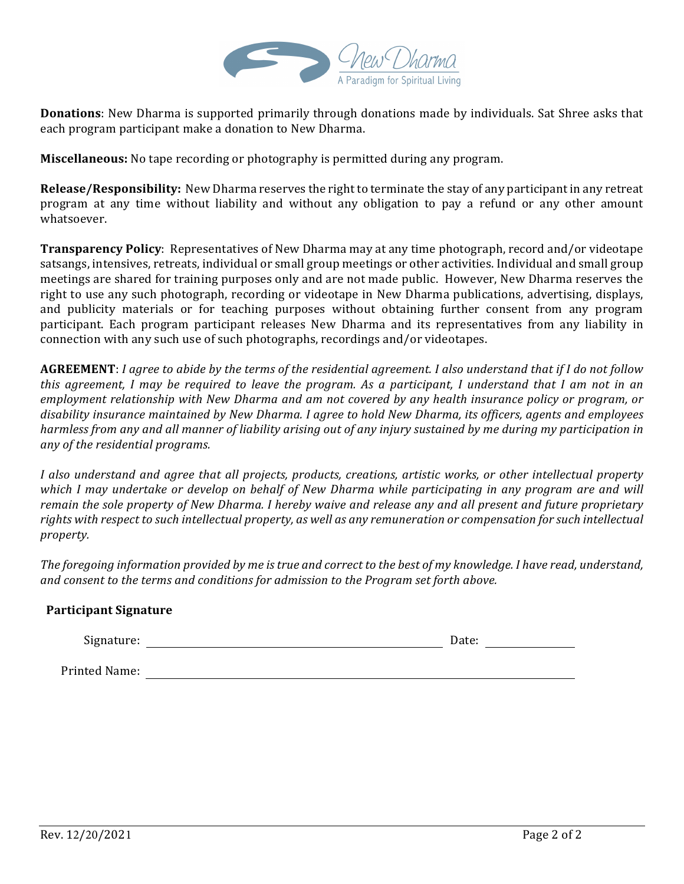

**Donations**: New Dharma is supported primarily through donations made by individuals. Sat Shree asks that each program participant make a donation to New Dharma.

**Miscellaneous:** No tape recording or photography is permitted during any program.

**Release/Responsibility:** New Dharma reserves the right to terminate the stay of any participant in any retreat program at any time without liability and without any obligation to pay a refund or any other amount whatsoever.

Transparency Policy: Representatives of New Dharma may at any time photograph, record and/or videotape satsangs, intensives, retreats, individual or small group meetings or other activities. Individual and small group meetings are shared for training purposes only and are not made public. However, New Dharma reserves the right to use any such photograph, recording or videotape in New Dharma publications, advertising, displays, and publicity materials or for teaching purposes without obtaining further consent from any program participant. Each program participant releases New Dharma and its representatives from any liability in connection with any such use of such photographs, recordings and/or videotapes.

**AGREEMENT**: *I* agree to abide by the terms of the residential agreement. I also understand that if I do not follow *this agreement, I may be required to leave the program. As a participant, I understand that I am not in an employment relationship with New Dharma and am not covered by any health insurance policy or program, or* disability insurance maintained by New Dharma. I agree to hold New Dharma, its officers, agents and employees *harmless* from any and all manner of liability arising out of any injury sustained by me during my participation in *any of the residential programs.*

*I* also understand and agree that all projects, products, creations, artistic works, or other intellectual property *which I may undertake or develop on behalf of New Dharma while participating in any program are and will remain the sole property of New Dharma. I hereby waive and release any and all present and future proprietary* rights with respect to such intellectual property, as well as any remuneration or compensation for such intellectual *property.*

The foregoing information provided by me is true and correct to the best of my knowledge. I have read, understand, and consent to the terms and conditions for admission to the Program set forth above.

## **Participant Signature**

Signature: Date: Date: Date: Date: Date: Date: Date: Date: Date: Date: Date: Date: Date: Date: Date: Date: Date: Date: Date: Date: Date: Date: Date: Date: Date: Date: Date: Date: Date: Date: Date: Date: Date: Date: Date: D

Printed Name: